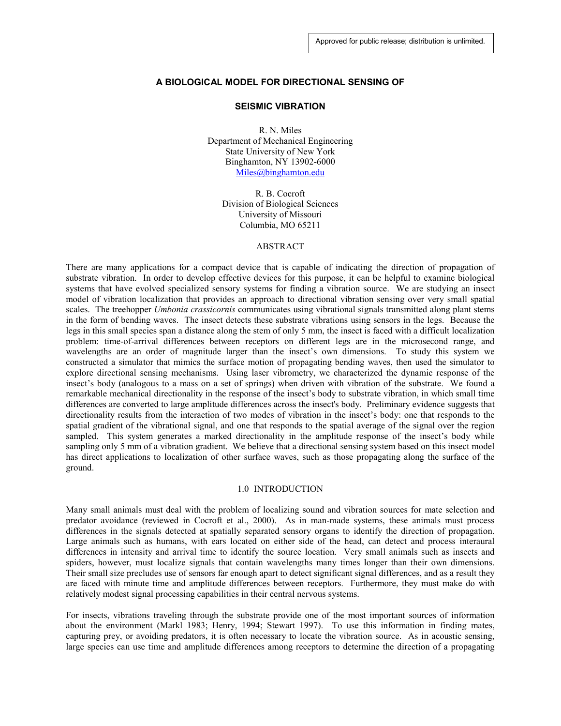### **A BIOLOGICAL MODEL FOR DIRECTIONAL SENSING OF**

#### **SEISMIC VIBRATION**

R. N. Miles Department of Mechanical Engineering State University of New York Binghamton, NY 13902-6000 Miles@binghamton.edu

> R. B. Cocroft Division of Biological Sciences University of Missouri Columbia, MO 65211

#### ABSTRACT

There are many applications for a compact device that is capable of indicating the direction of propagation of substrate vibration. In order to develop effective devices for this purpose, it can be helpful to examine biological systems that have evolved specialized sensory systems for finding a vibration source. We are studying an insect model of vibration localization that provides an approach to directional vibration sensing over very small spatial scales. The treehopper *Umbonia crassicornis* communicates using vibrational signals transmitted along plant stems in the form of bending waves. The insect detects these substrate vibrations using sensors in the legs. Because the legs in this small species span a distance along the stem of only 5 mm, the insect is faced with a difficult localization problem: time-of-arrival differences between receptors on different legs are in the microsecond range, and wavelengths are an order of magnitude larger than the insect's own dimensions. To study this system we constructed a simulator that mimics the surface motion of propagating bending waves, then used the simulator to explore directional sensing mechanisms. Using laser vibrometry, we characterized the dynamic response of the insect's body (analogous to a mass on a set of springs) when driven with vibration of the substrate. We found a remarkable mechanical directionality in the response of the insect's body to substrate vibration, in which small time differences are converted to large amplitude differences across the insect's body. Preliminary evidence suggests that directionality results from the interaction of two modes of vibration in the insect's body: one that responds to the spatial gradient of the vibrational signal, and one that responds to the spatial average of the signal over the region sampled. This system generates a marked directionality in the amplitude response of the insect's body while sampling only 5 mm of a vibration gradient. We believe that a directional sensing system based on this insect model has direct applications to localization of other surface waves, such as those propagating along the surface of the ground.

### 1.0 INTRODUCTION

Many small animals must deal with the problem of localizing sound and vibration sources for mate selection and predator avoidance (reviewed in Cocroft et al., 2000). As in man-made systems, these animals must process differences in the signals detected at spatially separated sensory organs to identify the direction of propagation. Large animals such as humans, with ears located on either side of the head, can detect and process interaural differences in intensity and arrival time to identify the source location. Very small animals such as insects and spiders, however, must localize signals that contain wavelengths many times longer than their own dimensions. Their small size precludes use of sensors far enough apart to detect significant signal differences, and as a result they are faced with minute time and amplitude differences between receptors. Furthermore, they must make do with relatively modest signal processing capabilities in their central nervous systems.

For insects, vibrations traveling through the substrate provide one of the most important sources of information about the environment (Markl 1983; Henry, 1994; Stewart 1997). To use this information in finding mates, capturing prey, or avoiding predators, it is often necessary to locate the vibration source. As in acoustic sensing, large species can use time and amplitude differences among receptors to determine the direction of a propagating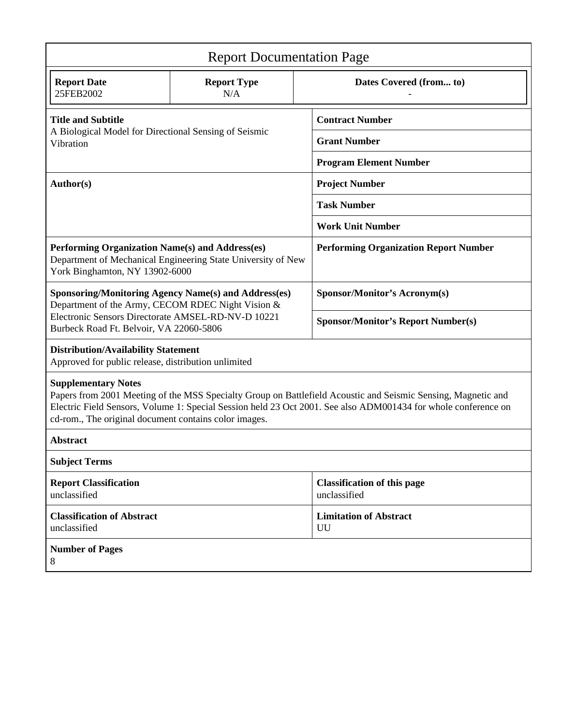| <b>Report Documentation Page</b>                                                                                                                                                                                                                                                                                       |                           |                                                    |
|------------------------------------------------------------------------------------------------------------------------------------------------------------------------------------------------------------------------------------------------------------------------------------------------------------------------|---------------------------|----------------------------------------------------|
| <b>Report Date</b><br>25FEB2002                                                                                                                                                                                                                                                                                        | <b>Report Type</b><br>N/A | Dates Covered (from to)                            |
| <b>Title and Subtitle</b><br>A Biological Model for Directional Sensing of Seismic<br>Vibration                                                                                                                                                                                                                        |                           | <b>Contract Number</b>                             |
|                                                                                                                                                                                                                                                                                                                        |                           | <b>Grant Number</b>                                |
|                                                                                                                                                                                                                                                                                                                        |                           | <b>Program Element Number</b>                      |
| Author(s)                                                                                                                                                                                                                                                                                                              |                           | <b>Project Number</b>                              |
|                                                                                                                                                                                                                                                                                                                        |                           | <b>Task Number</b>                                 |
|                                                                                                                                                                                                                                                                                                                        |                           | <b>Work Unit Number</b>                            |
| Performing Organization Name(s) and Address(es)<br>Department of Mechanical Engineering State University of New<br>York Binghamton, NY 13902-6000                                                                                                                                                                      |                           | <b>Performing Organization Report Number</b>       |
| <b>Sponsoring/Monitoring Agency Name(s) and Address(es)</b><br>Department of the Army, CECOM RDEC Night Vision &<br>Electronic Sensors Directorate AMSEL-RD-NV-D 10221<br>Burbeck Road Ft. Belvoir, VA 22060-5806                                                                                                      |                           | <b>Sponsor/Monitor's Acronym(s)</b>                |
|                                                                                                                                                                                                                                                                                                                        |                           | <b>Sponsor/Monitor's Report Number(s)</b>          |
| <b>Distribution/Availability Statement</b><br>Approved for public release, distribution unlimited                                                                                                                                                                                                                      |                           |                                                    |
| <b>Supplementary Notes</b><br>Papers from 2001 Meeting of the MSS Specialty Group on Battlefield Acoustic and Seismic Sensing, Magnetic and<br>Electric Field Sensors, Volume 1: Special Session held 23 Oct 2001. See also ADM001434 for whole conference on<br>cd-rom., The original document contains color images. |                           |                                                    |
| <b>Abstract</b>                                                                                                                                                                                                                                                                                                        |                           |                                                    |
| <b>Subject Terms</b>                                                                                                                                                                                                                                                                                                   |                           |                                                    |
| <b>Report Classification</b><br>unclassified                                                                                                                                                                                                                                                                           |                           | <b>Classification of this page</b><br>unclassified |
| <b>Classification of Abstract</b><br>unclassified                                                                                                                                                                                                                                                                      |                           | <b>Limitation of Abstract</b><br>UU                |
| <b>Number of Pages</b><br>8                                                                                                                                                                                                                                                                                            |                           |                                                    |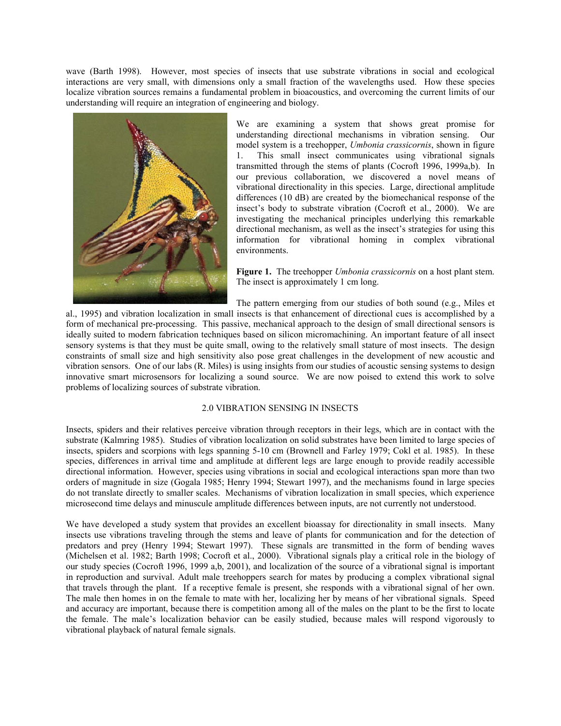wave (Barth 1998). However, most species of insects that use substrate vibrations in social and ecological interactions are very small, with dimensions only a small fraction of the wavelengths used. How these species localize vibration sources remains a fundamental problem in bioacoustics, and overcoming the current limits of our understanding will require an integration of engineering and biology.



We are examining a system that shows great promise for understanding directional mechanisms in vibration sensing. Our model system is a treehopper, *Umbonia crassicornis*, shown in figure 1. This small insect communicates using vibrational signals transmitted through the stems of plants (Cocroft 1996, 1999a,b). In our previous collaboration, we discovered a novel means of vibrational directionality in this species. Large, directional amplitude differences (10 dB) are created by the biomechanical response of the insect's body to substrate vibration (Cocroft et al., 2000). We are investigating the mechanical principles underlying this remarkable directional mechanism, as well as the insect's strategies for using this information for vibrational homing in complex vibrational environments.

**Figure 1.** The treehopper *Umbonia crassicornis* on a host plant stem. The insect is approximately 1 cm long.

The pattern emerging from our studies of both sound (e.g., Miles et

al., 1995) and vibration localization in small insects is that enhancement of directional cues is accomplished by a form of mechanical pre-processing. This passive, mechanical approach to the design of small directional sensors is ideally suited to modern fabrication techniques based on silicon micromachining. An important feature of all insect sensory systems is that they must be quite small, owing to the relatively small stature of most insects. The design constraints of small size and high sensitivity also pose great challenges in the development of new acoustic and vibration sensors. One of our labs (R. Miles) is using insights from our studies of acoustic sensing systems to design innovative smart microsensors for localizing a sound source. We are now poised to extend this work to solve problems of localizing sources of substrate vibration.

# 2.0 VIBRATION SENSING IN INSECTS

Insects, spiders and their relatives perceive vibration through receptors in their legs, which are in contact with the substrate (Kalmring 1985). Studies of vibration localization on solid substrates have been limited to large species of insects, spiders and scorpions with legs spanning 5-10 cm (Brownell and Farley 1979; Cokl et al. 1985). In these species, differences in arrival time and amplitude at different legs are large enough to provide readily accessible directional information. However, species using vibrations in social and ecological interactions span more than two orders of magnitude in size (Gogala 1985; Henry 1994; Stewart 1997), and the mechanisms found in large species do not translate directly to smaller scales. Mechanisms of vibration localization in small species, which experience microsecond time delays and minuscule amplitude differences between inputs, are not currently not understood.

We have developed a study system that provides an excellent bioassay for directionality in small insects. Many insects use vibrations traveling through the stems and leave of plants for communication and for the detection of predators and prey (Henry 1994; Stewart 1997). These signals are transmitted in the form of bending waves (Michelsen et al. 1982; Barth 1998; Cocroft et al., 2000). Vibrational signals play a critical role in the biology of our study species (Cocroft 1996, 1999 a,b, 2001), and localization of the source of a vibrational signal is important in reproduction and survival. Adult male treehoppers search for mates by producing a complex vibrational signal that travels through the plant. If a receptive female is present, she responds with a vibrational signal of her own. The male then homes in on the female to mate with her, localizing her by means of her vibrational signals. Speed and accuracy are important, because there is competition among all of the males on the plant to be the first to locate the female. The male's localization behavior can be easily studied, because males will respond vigorously to vibrational playback of natural female signals.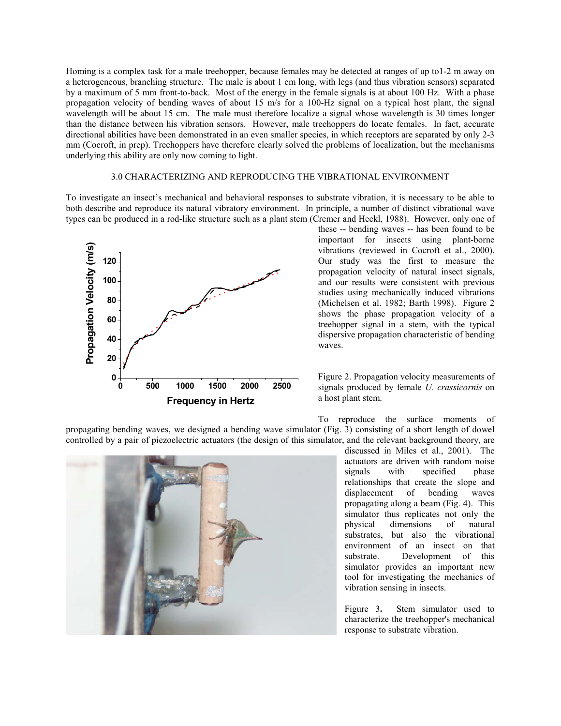Homing is a complex task for a male treehopper, because females may be detected at ranges of up to1-2 m away on a heterogeneous, branching structure. The male is about 1 cm long, with legs (and thus vibration sensors) separated by a maximum of 5 mm front-to-back. Most of the energy in the female signals is at about 100 Hz. With a phase propagation velocity of bending waves of about 15 m/s for a 100-Hz signal on a typical host plant, the signal wavelength will be about 15 cm. The male must therefore localize a signal whose wavelength is 30 times longer than the distance between his vibration sensors. However, male treehoppers do locate females. In fact, accurate directional abilities have been demonstrated in an even smaller species, in which receptors are separated by only 2-3 mm (Cocroft, in prep). Treehoppers have therefore clearly solved the problems of localization, but the mechanisms underlying this ability are only now coming to light.

### 3.0 CHARACTERIZING AND REPRODUCING THE VIBRATIONAL ENVIRONMENT

To investigate an insect's mechanical and behavioral responses to substrate vibration, it is necessary to be able to both describe and reproduce its natural vibratory environment. In principle, a number of distinct vibrational wave types can be produced in a rod-like structure such as a plant stem (Cremer and Heckl, 1988). However, only one of



these -- bending waves -- has been found to be important for insects using plant-borne vibrations (reviewed in Cocroft et al., 2000). Our study was the first to measure the propagation velocity of natural insect signals, and our results were consistent with previous studies using mechanically induced vibrations (Michelsen et al. 1982; Barth 1998). Figure 2 shows the phase propagation velocity of a treehopper signal in a stem, with the typical dispersive propagation characteristic of bending waves.

Figure 2. Propagation velocity measurements of signals produced by female *U. crassicornis* on a host plant stem.

To reproduce the surface moments of propagating bending waves, we designed a bending wave simulator (Fig. 3) consisting of a short length of dowel controlled by a pair of piezoelectric actuators (the design of this simulator, and the relevant background theory, are



discussed in Miles et al., 2001). The actuators are driven with random noise signals with specified phase relationships that create the slope and displacement of bending waves propagating along a beam (Fig. 4). This simulator thus replicates not only the physical dimensions of natural substrates, but also the vibrational environment of an insect on that substrate. Development of this simulator provides an important new tool for investigating the mechanics of vibration sensing in insects.

Figure 3**.** Stem simulator used to characterize the treehopper's mechanical response to substrate vibration.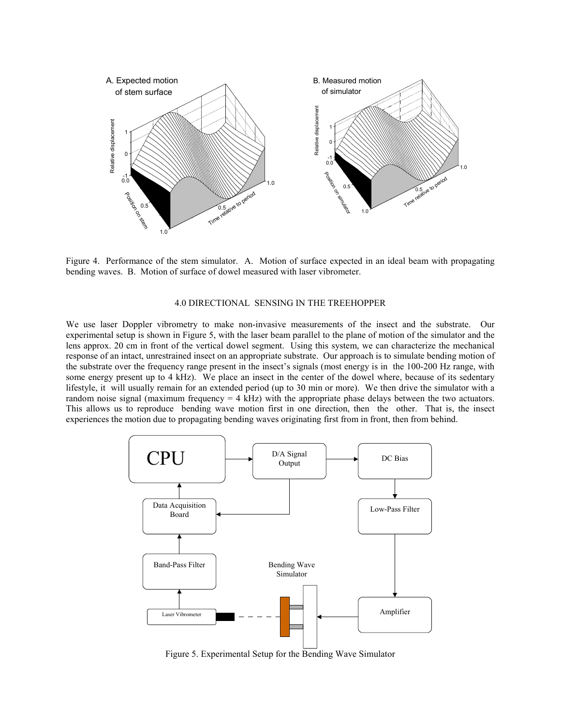

Figure 4. Performance of the stem simulator. A. Motion of surface expected in an ideal beam with propagating bending waves. B. Motion of surface of dowel measured with laser vibrometer.

#### 4.0 DIRECTIONAL SENSING IN THE TREEHOPPER

We use laser Doppler vibrometry to make non-invasive measurements of the insect and the substrate. Our experimental setup is shown in Figure 5, with the laser beam parallel to the plane of motion of the simulator and the lens approx. 20 cm in front of the vertical dowel segment. Using this system, we can characterize the mechanical response of an intact, unrestrained insect on an appropriate substrate. Our approach is to simulate bending motion of the substrate over the frequency range present in the insect's signals (most energy is in the 100-200 Hz range, with some energy present up to 4 kHz). We place an insect in the center of the dowel where, because of its sedentary lifestyle, it will usually remain for an extended period (up to 30 min or more). We then drive the simulator with a random noise signal (maximum frequency  $= 4$  kHz) with the appropriate phase delays between the two actuators. This allows us to reproduce bending wave motion first in one direction, then the other. That is, the insect experiences the motion due to propagating bending waves originating first from in front, then from behind.



Figure 5. Experimental Setup for the Bending Wave Simulator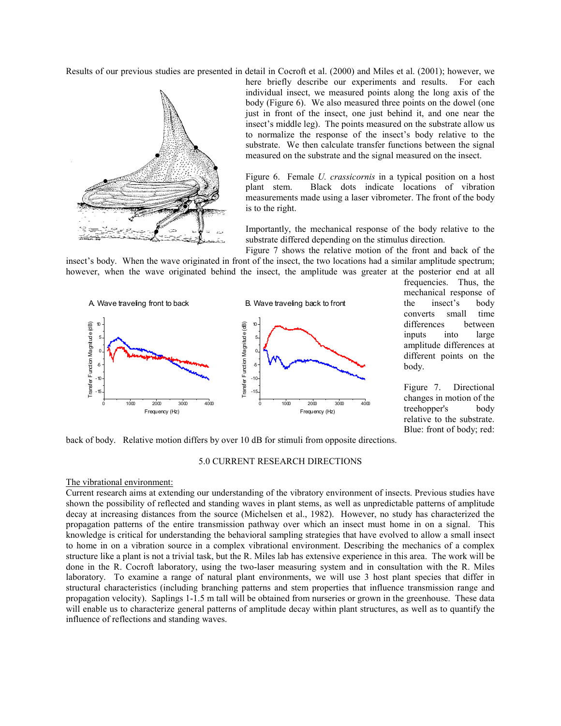Results of our previous studies are presented in detail in Cocroft et al. (2000) and Miles et al. (2001); however, we



here briefly describe our experiments and results. For each individual insect, we measured points along the long axis of the body (Figure 6). We also measured three points on the dowel (one just in front of the insect, one just behind it, and one near the insect's middle leg). The points measured on the substrate allow us to normalize the response of the insect's body relative to the substrate. We then calculate transfer functions between the signal measured on the substrate and the signal measured on the insect.

Figure 6. Female *U. crassicornis* in a typical position on a host plant stem. Black dots indicate locations of vibration measurements made using a laser vibrometer. The front of the body is to the right.

Importantly, the mechanical response of the body relative to the substrate differed depending on the stimulus direction.

Figure 7 shows the relative motion of the front and back of the insect's body. When the wave originated in front of the insect, the two locations had a similar amplitude spectrum; however, when the wave originated behind the insect, the amplitude was greater at the posterior end at all



frequencies. Thus, the mechanical response of the insect's body converts small time differences between inputs into large amplitude differences at different points on the body.

Figure 7. Directional changes in motion of the treehopper's body relative to the substrate. Blue: front of body; red:

back of body. Relative motion differs by over 10 dB for stimuli from opposite directions.

## 5.0 CURRENT RESEARCH DIRECTIONS

The vibrational environment:

Current research aims at extending our understanding of the vibratory environment of insects. Previous studies have shown the possibility of reflected and standing waves in plant stems, as well as unpredictable patterns of amplitude decay at increasing distances from the source (Michelsen et al., 1982). However, no study has characterized the propagation patterns of the entire transmission pathway over which an insect must home in on a signal. This knowledge is critical for understanding the behavioral sampling strategies that have evolved to allow a small insect to home in on a vibration source in a complex vibrational environment. Describing the mechanics of a complex structure like a plant is not a trivial task, but the R. Miles lab has extensive experience in this area. The work will be done in the R. Cocroft laboratory, using the two-laser measuring system and in consultation with the R. Miles laboratory. To examine a range of natural plant environments, we will use 3 host plant species that differ in structural characteristics (including branching patterns and stem properties that influence transmission range and propagation velocity). Saplings 1-1.5 m tall will be obtained from nurseries or grown in the greenhouse. These data will enable us to characterize general patterns of amplitude decay within plant structures, as well as to quantify the influence of reflections and standing waves.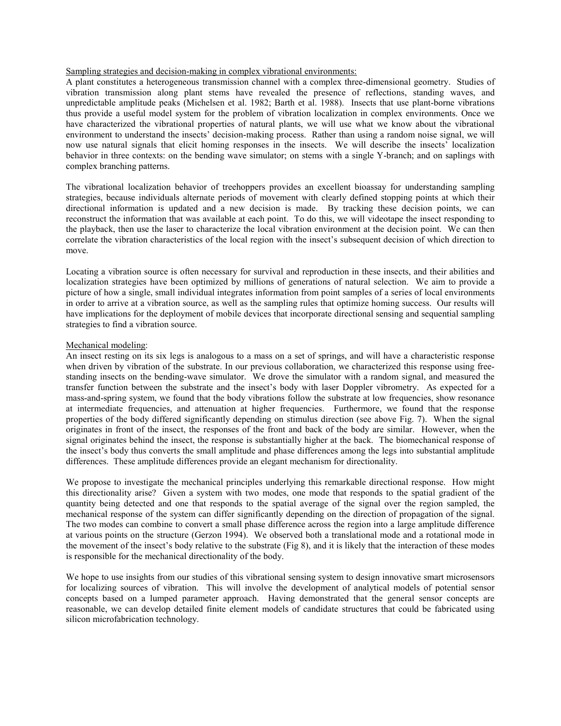### Sampling strategies and decision-making in complex vibrational environments:

A plant constitutes a heterogeneous transmission channel with a complex three-dimensional geometry. Studies of vibration transmission along plant stems have revealed the presence of reflections, standing waves, and unpredictable amplitude peaks (Michelsen et al. 1982; Barth et al. 1988). Insects that use plant-borne vibrations thus provide a useful model system for the problem of vibration localization in complex environments. Once we have characterized the vibrational properties of natural plants, we will use what we know about the vibrational environment to understand the insects' decision-making process. Rather than using a random noise signal, we will now use natural signals that elicit homing responses in the insects. We will describe the insects' localization behavior in three contexts: on the bending wave simulator; on stems with a single Y-branch; and on saplings with complex branching patterns.

The vibrational localization behavior of treehoppers provides an excellent bioassay for understanding sampling strategies, because individuals alternate periods of movement with clearly defined stopping points at which their directional information is updated and a new decision is made. By tracking these decision points, we can reconstruct the information that was available at each point. To do this, we will videotape the insect responding to the playback, then use the laser to characterize the local vibration environment at the decision point. We can then correlate the vibration characteristics of the local region with the insect's subsequent decision of which direction to move.

Locating a vibration source is often necessary for survival and reproduction in these insects, and their abilities and localization strategies have been optimized by millions of generations of natural selection. We aim to provide a picture of how a single, small individual integrates information from point samples of a series of local environments in order to arrive at a vibration source, as well as the sampling rules that optimize homing success. Our results will have implications for the deployment of mobile devices that incorporate directional sensing and sequential sampling strategies to find a vibration source.

#### Mechanical modeling:

An insect resting on its six legs is analogous to a mass on a set of springs, and will have a characteristic response when driven by vibration of the substrate. In our previous collaboration, we characterized this response using freestanding insects on the bending-wave simulator. We drove the simulator with a random signal, and measured the transfer function between the substrate and the insect's body with laser Doppler vibrometry. As expected for a mass-and-spring system, we found that the body vibrations follow the substrate at low frequencies, show resonance at intermediate frequencies, and attenuation at higher frequencies. Furthermore, we found that the response properties of the body differed significantly depending on stimulus direction (see above Fig. 7). When the signal originates in front of the insect, the responses of the front and back of the body are similar. However, when the signal originates behind the insect, the response is substantially higher at the back. The biomechanical response of the insect's body thus converts the small amplitude and phase differences among the legs into substantial amplitude differences. These amplitude differences provide an elegant mechanism for directionality.

We propose to investigate the mechanical principles underlying this remarkable directional response. How might this directionality arise? Given a system with two modes, one mode that responds to the spatial gradient of the quantity being detected and one that responds to the spatial average of the signal over the region sampled, the mechanical response of the system can differ significantly depending on the direction of propagation of the signal. The two modes can combine to convert a small phase difference across the region into a large amplitude difference at various points on the structure (Gerzon 1994). We observed both a translational mode and a rotational mode in the movement of the insect's body relative to the substrate (Fig 8), and it is likely that the interaction of these modes is responsible for the mechanical directionality of the body.

We hope to use insights from our studies of this vibrational sensing system to design innovative smart microsensors for localizing sources of vibration. This will involve the development of analytical models of potential sensor concepts based on a lumped parameter approach. Having demonstrated that the general sensor concepts are reasonable, we can develop detailed finite element models of candidate structures that could be fabricated using silicon microfabrication technology.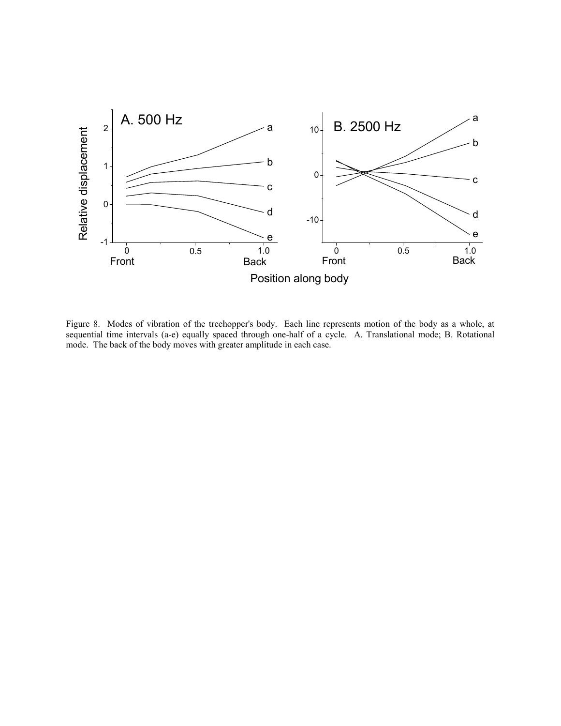

Figure 8. Modes of vibration of the treehopper's body. Each line represents motion of the body as a whole, at sequential time intervals (a-e) equally spaced through one-half of a cycle. A. Translational mode; B. Rotational mode. The back of the body moves with greater amplitude in each case.